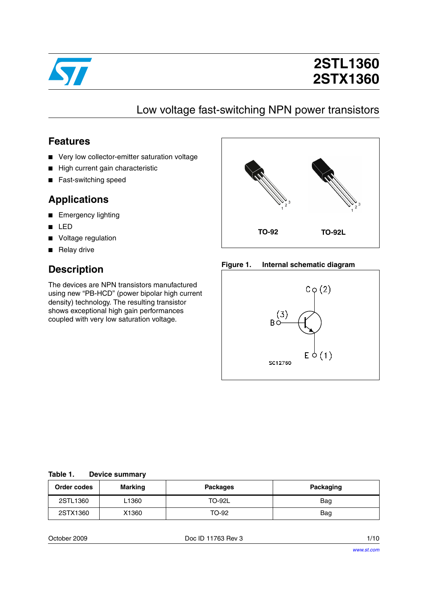

# **2STL1360 2STX1360**

## Low voltage fast-switching NPN power transistors

#### **Features**

- Very low collector-emitter saturation voltage
- High current gain characteristic
- Fast-switching speed

### **Applications**

- Emergency lighting
- LED
- Voltage regulation
- Relay drive

### **Description**

The devices are NPN transistors manufactured using new "PB-HCD" (power bipolar high current density) technology. The resulting transistor shows exceptional high gain performances coupled with very low saturation voltage.



#### **Figure 1. Internal schematic diagram**



| Table 1. |  | <b>Device summary</b> |
|----------|--|-----------------------|
|----------|--|-----------------------|

| Order codes | Marking | <b>Packages</b> | Packaging |
|-------------|---------|-----------------|-----------|
| 2STL1360    | L1360   | <b>TO-92L</b>   | Bag       |
| 2STX1360    | X1360   | TO-92           | Bag       |

October 2009 Doc ID 11763 Rev 3 1/10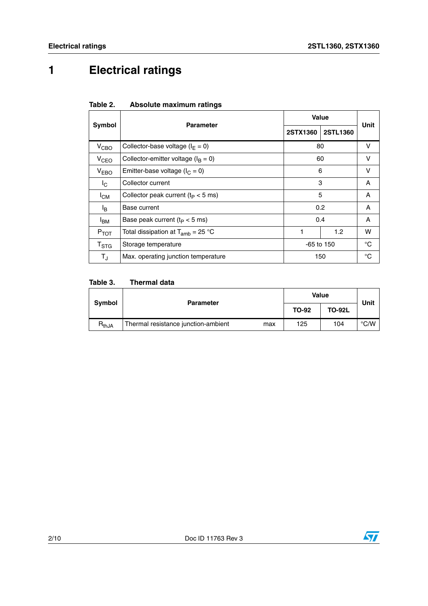# **1 Electrical ratings**

| Table 2. | Absolute maximum ratings |  |
|----------|--------------------------|--|
|          |                          |  |

|                  | <b>Parameter</b>                                   | Value           | Unit        |    |  |
|------------------|----------------------------------------------------|-----------------|-------------|----|--|
| Symbol           |                                                    | <b>2STX1360</b> | 2STL1360    |    |  |
| V <sub>CBO</sub> | Collector-base voltage ( $I_F = 0$ )               | 80              |             | v  |  |
| V <sub>CEO</sub> | Collector-emitter voltage ( $I_B = 0$ )            |                 | 60          | v  |  |
| $V_{EBO}$        | 6<br>Emitter-base voltage ( $I_C = 0$ )            |                 | v           |    |  |
| $I_{\rm C}$      | 3<br>Collector current                             |                 | A           |    |  |
| $I_{CM}$         | Collector peak current ( $t_P < 5$ ms)             |                 | 5           | A  |  |
| l <sub>B</sub>   | 0.2<br>Base current                                |                 |             | A  |  |
| <sup>I</sup> BM  | Base peak current ( $t_P < 5$ ms)                  |                 | 0.4         | A  |  |
| $P_{TOT}$        | Total dissipation at $T_{amb}$ = 25 °C<br>1<br>1.2 |                 | w           |    |  |
| T <sub>STG</sub> | Storage temperature                                | $-65$ to 150    |             | °C |  |
| $T_{\rm J}$      | Max. operating junction temperature<br>150         |                 | $^{\circ}C$ |    |  |

#### Table 3. **Thermal data**

| Symbol                       | <b>Parameter</b>                           |              | <b>Value</b>  |               |  |
|------------------------------|--------------------------------------------|--------------|---------------|---------------|--|
|                              |                                            | <b>TO-92</b> | <b>TO-92L</b> | Unit          |  |
| $\mathsf{R}_{\mathsf{thJA}}$ | Thermal resistance junction-ambient<br>max | 125          | 104           | $\degree$ C/W |  |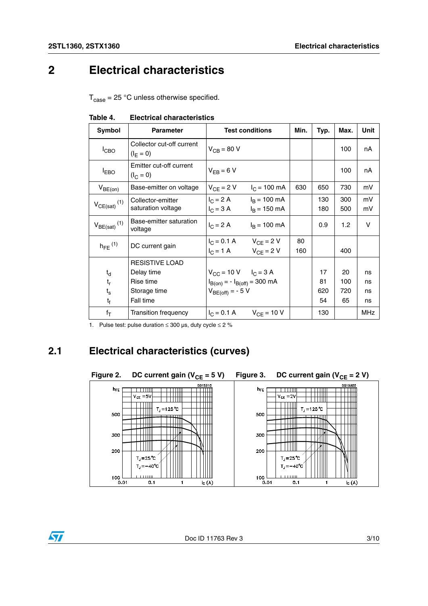$\sqrt{2}$ 

## **2 Electrical characteristics**

 $T_{\text{case}} = 25 \text{ °C}$  unless otherwise specified.

| Symbol                       | <b>Parameter</b>                         |                                                              | <b>Test conditions</b>                           | Min.      | Typ.       | Max.             | Unit       |
|------------------------------|------------------------------------------|--------------------------------------------------------------|--------------------------------------------------|-----------|------------|------------------|------------|
| $I_{CBO}$                    | Collector cut-off current<br>$(I_F = 0)$ | $V_{CB}$ = 80 V                                              |                                                  |           |            | 100              | nA         |
| <b>IEBO</b>                  | Emitter cut-off current<br>$(I_C = 0)$   | $V_{FR} = 6 V$                                               |                                                  |           |            | 100              | nA         |
| $V_{BE(on)}$                 | Base-emitter on voltage                  | $V_{CF} = 2 V$                                               | $I_C = 100 \text{ mA}$                           | 630       | 650        | 730              | mV         |
| $V_{CE(sat)}$ <sup>(1)</sup> | Collector-emitter<br>saturation voltage  | $I_C = 2 A$<br>$I_C = 3 A$                                   | $I_B = 100 \text{ mA}$<br>$I_B = 150 \text{ mA}$ |           | 130<br>180 | 300<br>500       | mV<br>mV   |
| $V_{BE(sat)}$ <sup>(1)</sup> | Base-emitter saturation<br>voltage       | $I_C = 2 A$                                                  | $I_B = 100 \text{ mA}$                           |           | 0.9        | 1.2 <sub>2</sub> | v          |
| $h_{FF}$ (1)                 | DC current gain                          | $I_C = 0.1 A$ $V_{CF} = 2 V$<br>$I_C = 1 A$                  | $V_{CF} = 2 V$                                   | 80<br>160 |            | 400              |            |
|                              | <b>RESISTIVE LOAD</b>                    |                                                              |                                                  |           |            |                  |            |
| $t_{d}$                      | Delay time                               | $V_{CC}$ = 10 V $I_C$ = 3 A                                  |                                                  |           | 17         | 20               | ns         |
| $\mathfrak{t}_{\mathsf{r}}$  | Rise time                                | $I_{B(0n)} = -I_{B(off)} = 300 \text{ mA}$                   |                                                  |           | 81         | 100              | ns         |
| $t_{\rm s}$                  | Storage time                             | $V_{BE(off)} = -5 V$                                         |                                                  |           | 620        | 720              | ns         |
| $t_{\rm f}$                  | Fall time                                |                                                              |                                                  |           | 54         | 65               | ns         |
| $f_T$                        | <b>Transition frequency</b>              | $V_{\text{C}} = 0.1 \text{ A}$ $V_{\text{C}} = 10 \text{ V}$ |                                                  |           | 130        |                  | <b>MHz</b> |

**Table 4. Electrical characteristics**

1. Pulse test: pulse duration  $\leq 300$  µs, duty cycle  $\leq 2$  %

## **2.1 Electrical characteristics (curves)**

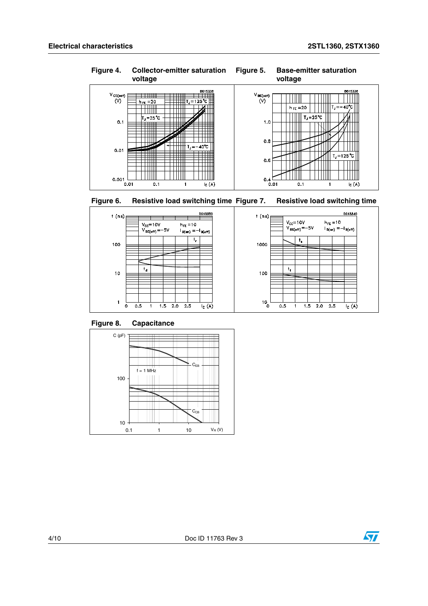







<span id="page-3-0"></span>**Figure 8. Capacitance**



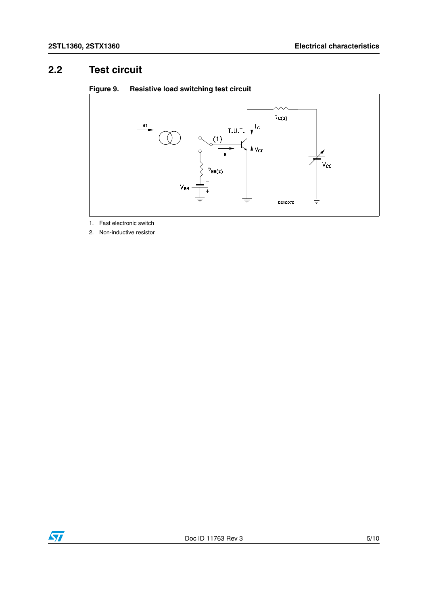### **2.2 Test circuit**



#### **Figure 9. Resistive load switching test circuit**

1. Fast electronic switch

2. Non-inductive resistor

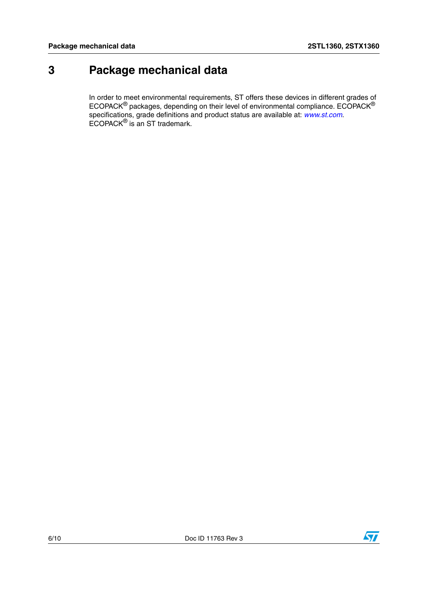## **3 Package mechanical data**

In order to meet environmental requirements, ST offers these devices in different grades of ECOPACK $^{\circledR}$  packages, depending on their level of environmental compliance. ECOPACK $^{\circledR}$ specifications, grade definitions and product status are available at: *[www.st.com](http://www.st.com)*. ECOPACK® is an ST trademark.



 $\sqrt{2}$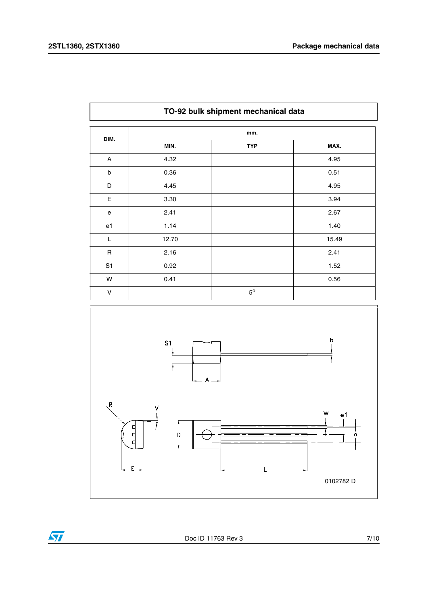$\overline{\mathbf{H}}$ 

|                | TO-92 bulk shipment mechanical data |             |       |
|----------------|-------------------------------------|-------------|-------|
| DIM.           |                                     | mm.         |       |
|                | MIN.                                | <b>TYP</b>  | MAX.  |
| A              | 4.32                                |             | 4.95  |
| b              | 0.36                                |             | 0.51  |
| D              | 4.45                                |             | 4.95  |
| E              | 3.30                                |             | 3.94  |
| e              | 2.41                                |             | 2.67  |
| e1             | 1.14                                |             | 1.40  |
| L              | 12.70                               |             | 15.49 |
| $\mathsf R$    | 2.16                                |             | 2.41  |
| S <sub>1</sub> | 0.92                                |             | 1.52  |
| W              | 0.41                                |             | 0.56  |
| V              |                                     | $5^{\circ}$ |       |

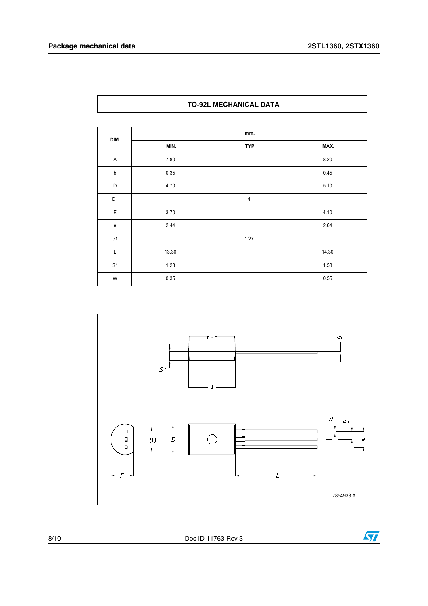#### **TO-92L MECHANICAL DATA**

| DIM.                                       | mm.   |                |       |  |  |
|--------------------------------------------|-------|----------------|-------|--|--|
|                                            | MIN.  | <b>TYP</b>     | MAX.  |  |  |
| A                                          | 7.80  |                | 8.20  |  |  |
| $\sf b$                                    | 0.35  |                | 0.45  |  |  |
| D                                          | 4.70  |                | 5.10  |  |  |
| D <sub>1</sub>                             |       | $\overline{4}$ |       |  |  |
| $\mathsf E$                                | 3.70  |                | 4.10  |  |  |
| $\mathsf{e}% _{0}\left( \mathsf{e}\right)$ | 2.44  |                | 2.64  |  |  |
| e <sub>1</sub>                             |       | 1.27           |       |  |  |
| L                                          | 13.30 |                | 14.30 |  |  |
| S <sub>1</sub>                             | 1.28  |                | 1.58  |  |  |
| W                                          | 0.35  |                | 0.55  |  |  |



8/10 Doc ID 11763 Rev 3

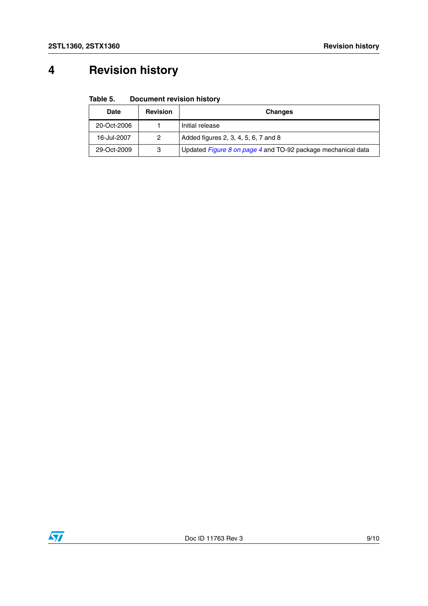# **4 Revision history**

#### Table 5. **Document revision history**

| <b>Date</b> | <b>Revision</b> | <b>Changes</b>                                               |
|-------------|-----------------|--------------------------------------------------------------|
| 20-Oct-2006 |                 | Initial release                                              |
| 16-Jul-2007 | 2               | Added figures 2, 3, 4, 5, 6, 7 and 8                         |
| 29-Oct-2009 | 3               | Updated Figure 8 on page 4 and TO-92 package mechanical data |